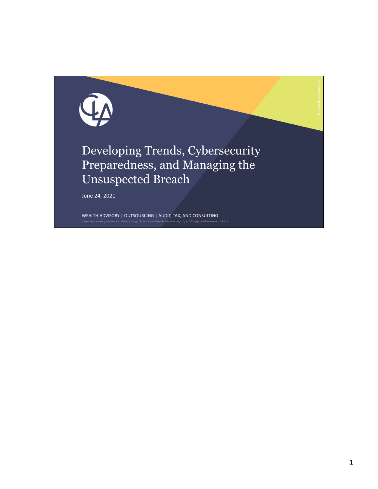

WEALTH ADVISORY | OUTSOURCING | AUDIT, TAX, AND CONSULTING <sub>.</sub><br>Investment are offered through CliftonLarsonAllen Wealth Advisors, LLC, an SEC-regis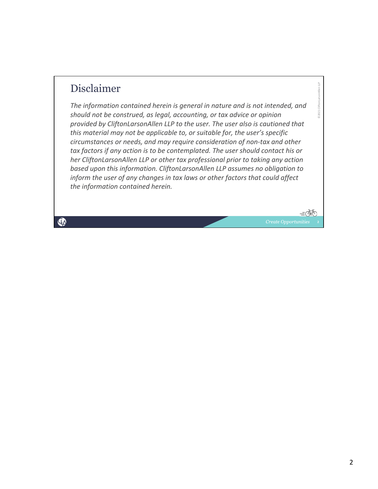## Disclaimer

*The information contained herein is general in nature and is not intended, and should not be construed, as legal, accounting, or tax advice or opinion provided by CliftonLarsonAllen LLP to the user. The user also is cautioned that this material may not be applicable to, or suitable for, the user's specific circumstances or needs, and may require consideration of non‐tax and other tax factors if any action is to be contemplated. The user should contact his or her CliftonLarsonAllen LLP or other tax professional prior to taking any action based upon this information. CliftonLarsonAllen LLP assumes no obligation to inform the user of any changes in tax laws or other factors that could affect the information contained herein.*

Q

©2021 CliftonLarsonAllen LLP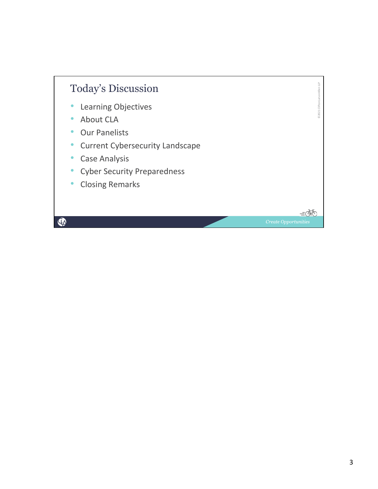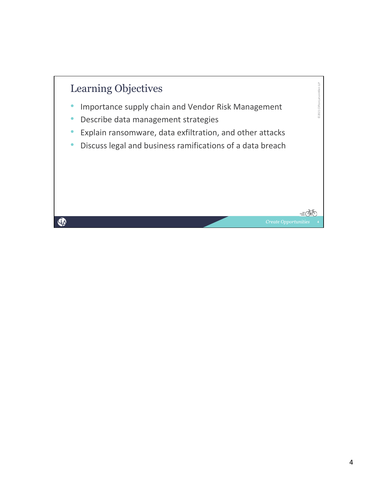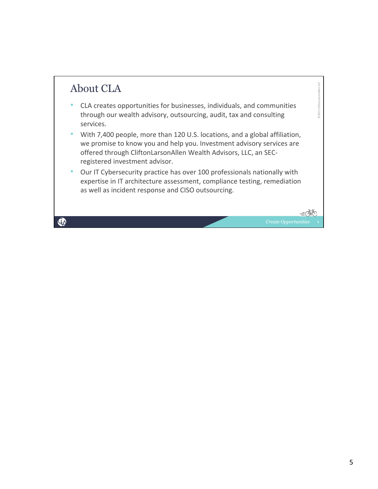## About CLA

- CLA creates opportunities for businesses, individuals, and communities through our wealth advisory, outsourcing, audit, tax and consulting services.
- With 7,400 people, more than 120 U.S. locations, and a global affiliation, we promise to know you and help you. Investment advisory services are offered through CliftonLarsonAllen Wealth Advisors, LLC, an SEC‐ registered investment advisor.
- Our IT Cybersecurity practice has over 100 professionals nationally with expertise in IT architecture assessment, compliance testing, remediation as well as incident response and CISO outsourcing.

©2021 CliftonLarsonAllen LLP

D2021 Clifton

 $=\!\stackrel{\frown}{\Delta}$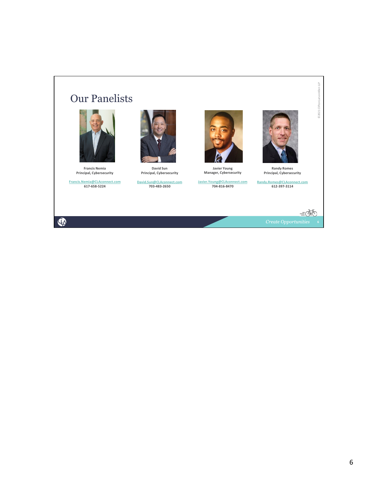## Our Panelists



**Francis Nemia Principal, Cybersecurity**

**Francis.Nemia@CLAconnect.com 617‐658‐5224**

 $\mathbf{Q}$ 



**David Sun Principal, Cybersecurity**

**David.Sun@CLAconnect.com 703‐483‐2650**



**Javier Young Manager, Cybersecurity**

**Javier.Young@CLAconnect.com 704‐816‐8470**



**Randy Romes Principal, Cybersecurity**

**Randy.Romes@CLAconnect.com 612‐397‐3114**

 $\vec{\alpha}$ 

©2021 CliftonLarsonAllen LLP

©2021 CliftonLarsonAllen LLP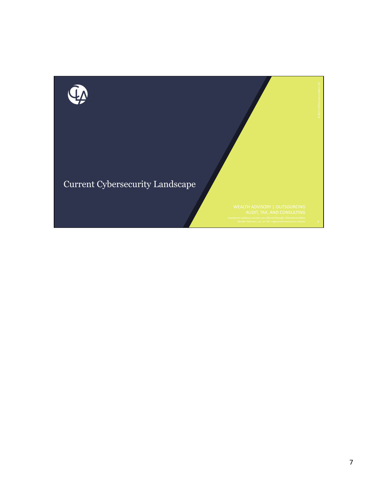

Current Cybersecurity Landscape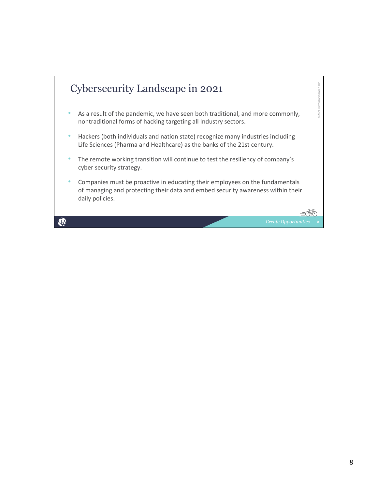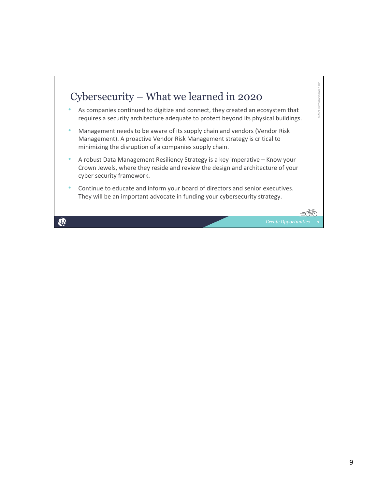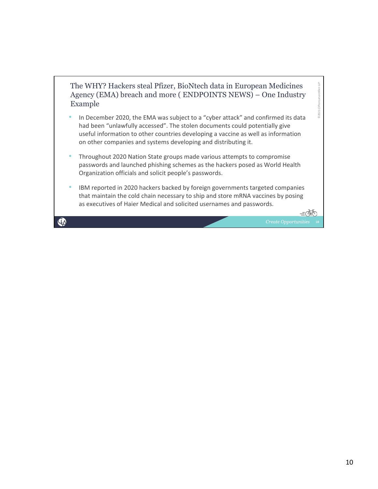

- In December 2020, the EMA was subject to a "cyber attack" and confirmed its data had been "unlawfully accessed". The stolen documents could potentially give useful information to other countries developing a vaccine as well as information on other companies and systems developing and distributing it.
- Throughout 2020 Nation State groups made various attempts to compromise passwords and launched phishing schemes as the hackers posed as World Health Organization officials and solicit people's passwords.
- IBM reported in 2020 hackers backed by foreign governments targeted companies that maintain the cold chain necessary to ship and store mRNA vaccines by posing as executives of Haier Medical and solicited usernames and passwords.

 $\mathbf{\Phi}$ 

©2021 CliftonLarsonAllen

02021

LLP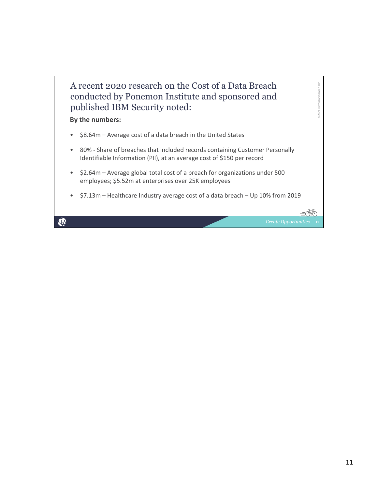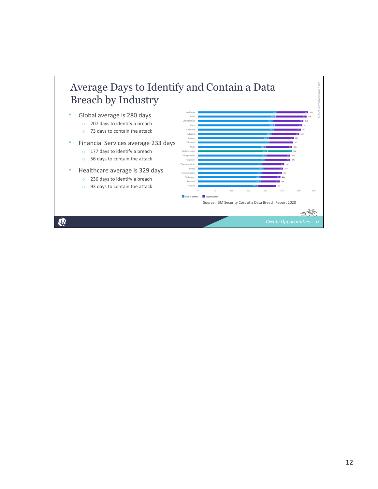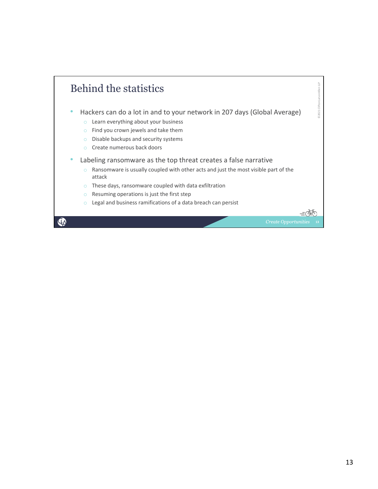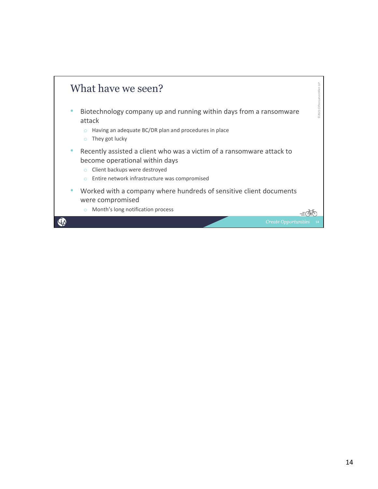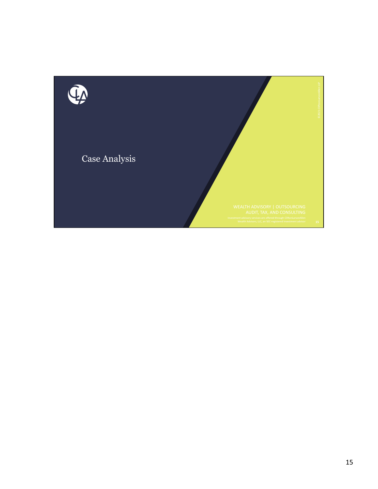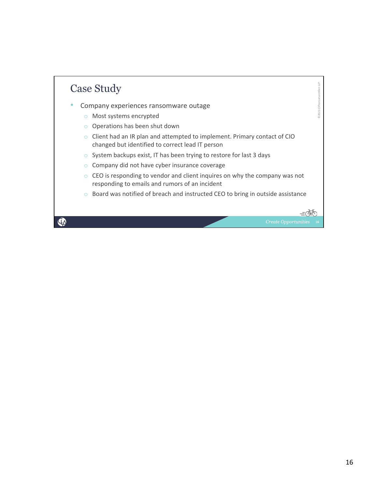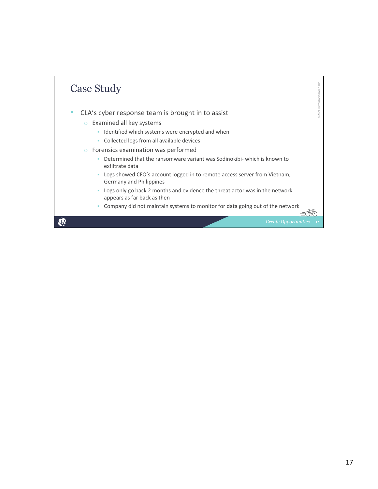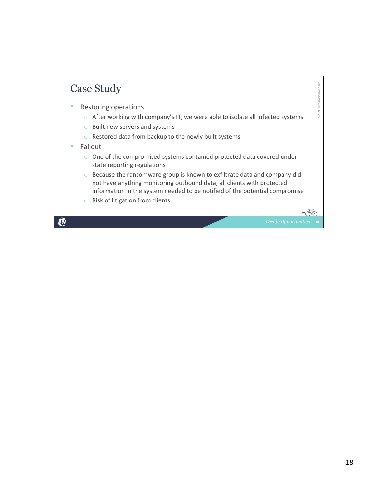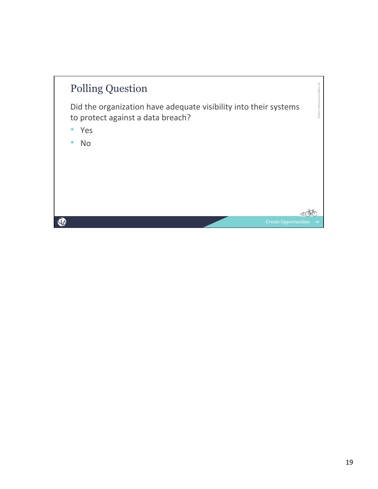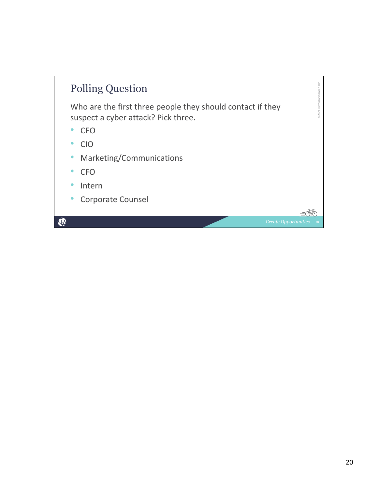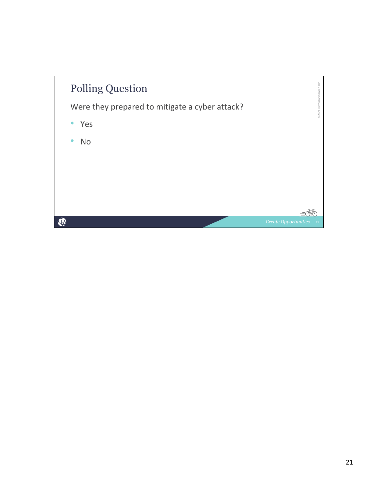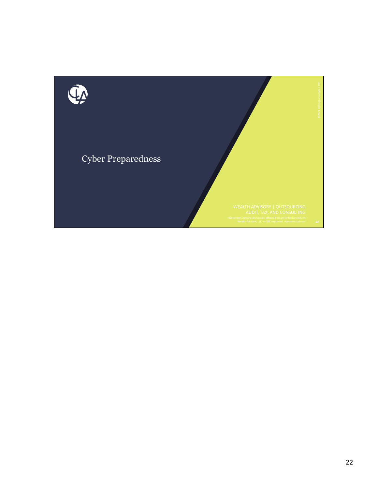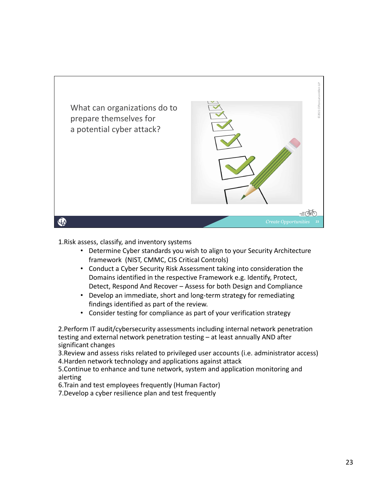

1.Risk assess, classify, and inventory systems

- Determine Cyber standards you wish to align to your Security Architecture framework (NIST, CMMC, CIS Critical Controls)
- Conduct a Cyber Security Risk Assessment taking into consideration the Domains identified in the respective Framework e.g. Identify, Protect, Detect, Respond And Recover – Assess for both Design and Compliance
- Develop an immediate, short and long‐term strategy for remediating findings identified as part of the review.
- Consider testing for compliance as part of your verification strategy

2.Perform IT audit/cybersecurity assessments including internal network penetration testing and external network penetration testing – at least annually AND after significant changes

3.Review and assess risks related to privileged user accounts (i.e. administrator access) 4.Harden network technology and applications against attack

5.Continue to enhance and tune network, system and application monitoring and alerting

6.Train and test employees frequently (Human Factor)

7.Develop a cyber resilience plan and test frequently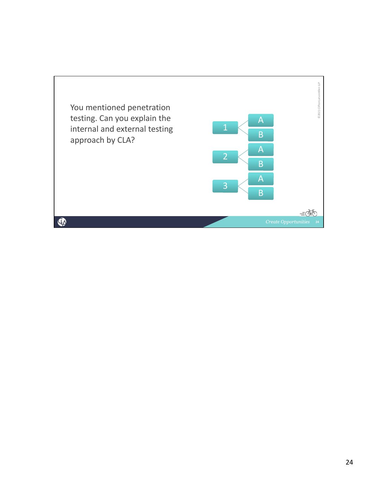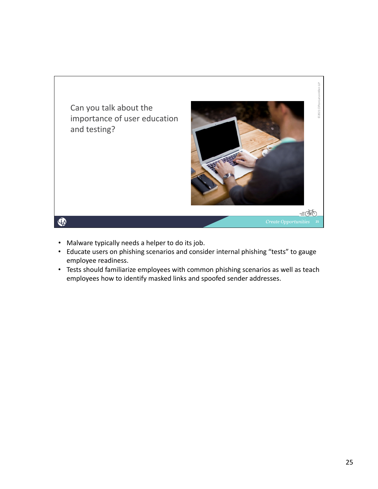

- Malware typically needs a helper to do its job.
- Educate users on phishing scenarios and consider internal phishing "tests" to gauge employee readiness.
- Tests should familiarize employees with common phishing scenarios as well as teach employees how to identify masked links and spoofed sender addresses.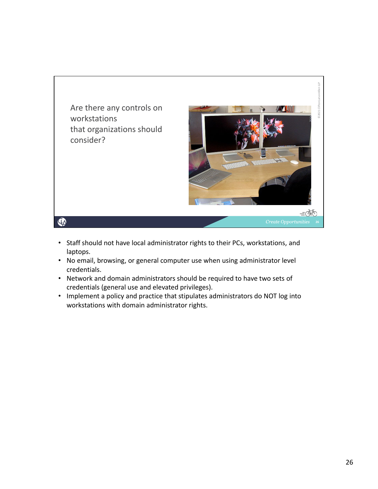

- Staff should not have local administrator rights to their PCs, workstations, and laptops.
- No email, browsing, or general computer use when using administrator level credentials.
- Network and domain administrators should be required to have two sets of credentials (general use and elevated privileges).
- Implement a policy and practice that stipulates administrators do NOT log into workstations with domain administrator rights.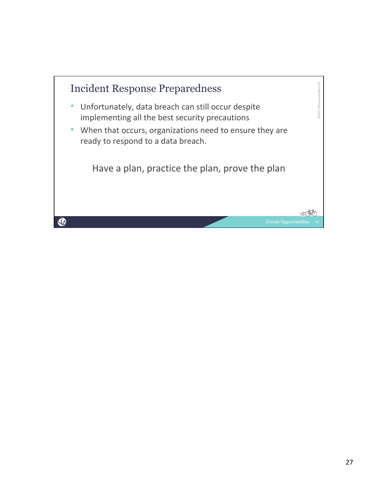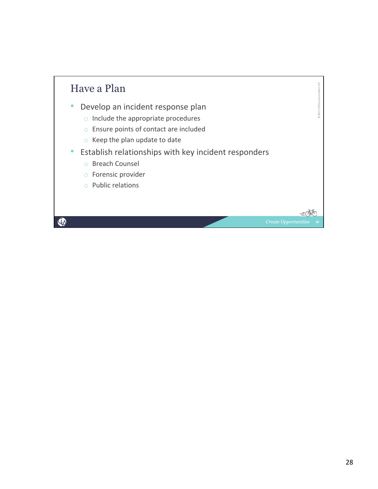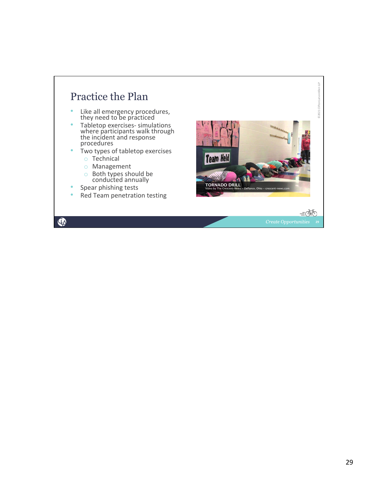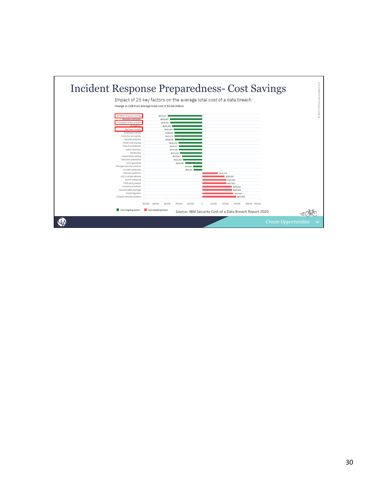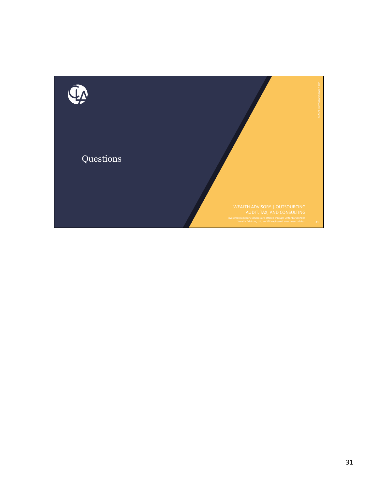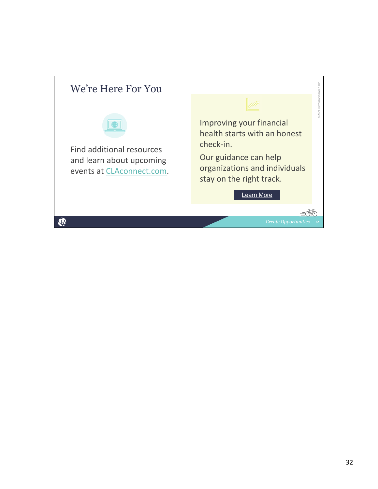